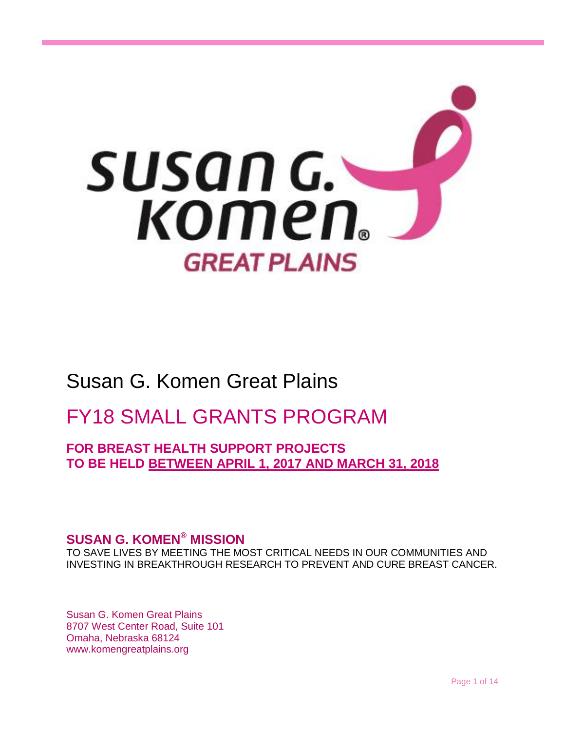

# Susan G. Komen Great Plains

# FY18 SMALL GRANTS PROGRAM

**FOR BREAST HEALTH SUPPORT PROJECTS TO BE HELD BETWEEN APRIL 1, 2017 AND MARCH 31, 2018**

# **SUSAN G. KOMEN® MISSION**

TO SAVE LIVES BY MEETING THE MOST CRITICAL NEEDS IN OUR COMMUNITIES AND INVESTING IN BREAKTHROUGH RESEARCH TO PREVENT AND CURE BREAST CANCER.

Susan G. Komen Great Plains 8707 West Center Road, Suite 101 Omaha, Nebraska 68124 www.komengreatplains.org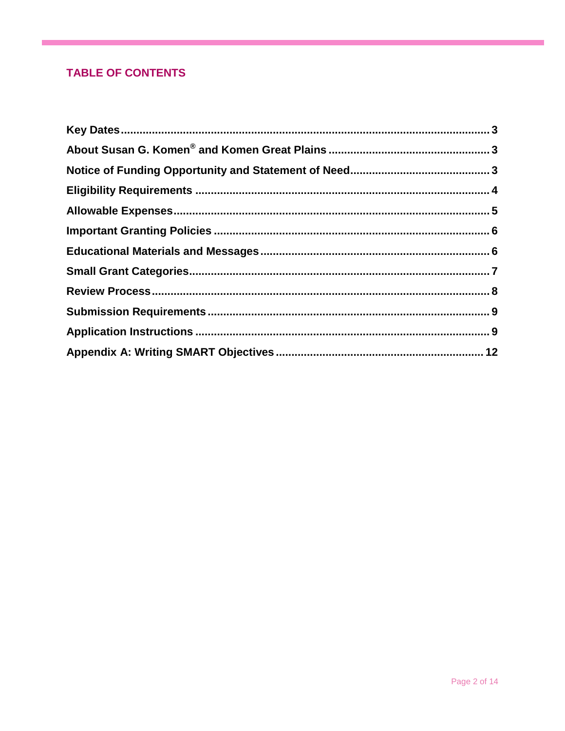# **TABLE OF CONTENTS**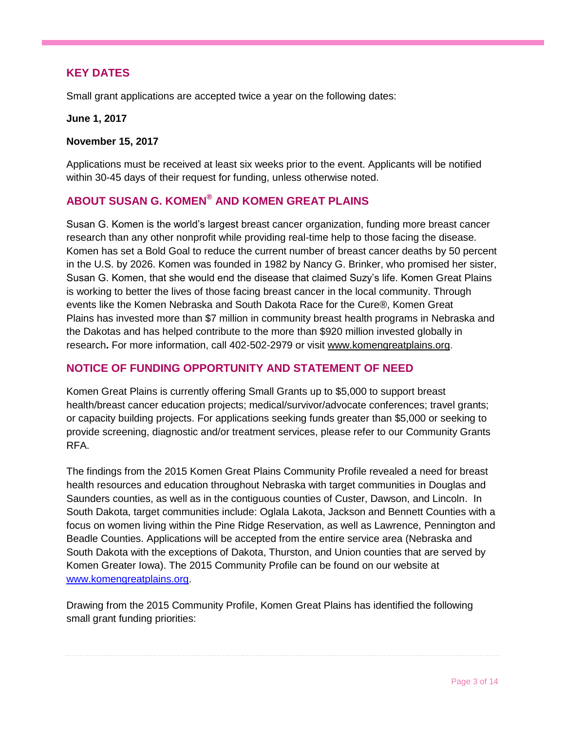# <span id="page-2-0"></span>**KEY DATES**

Small grant applications are accepted twice a year on the following dates:

#### **June 1, 2017**

#### **November 15, 2017**

Applications must be received at least six weeks prior to the event. Applicants will be notified within 30-45 days of their request for funding, unless otherwise noted.

# <span id="page-2-1"></span>**ABOUT SUSAN G. KOMEN® AND KOMEN GREAT PLAINS**

Susan G. Komen is the world's largest breast cancer organization, funding more breast cancer research than any other nonprofit while providing real-time help to those facing the disease. Komen has set a Bold Goal to reduce the current number of breast cancer deaths by 50 percent in the U.S. by 2026. Komen was founded in 1982 by Nancy G. Brinker, who promised her sister, Susan G. Komen, that she would end the disease that claimed Suzy's life. Komen Great Plains is working to better the lives of those facing breast cancer in the local community. Through events like the Komen Nebraska and South Dakota Race for the Cure®, Komen Great Plains has invested more than \$7 million in community breast health programs in Nebraska and the Dakotas and has helped contribute to the more than \$920 million invested globally in research**.** For more information, call 402-502-2979 or visit [www.komengreatplains.org.](http://www.komengreatplains.org/)

# <span id="page-2-2"></span>**NOTICE OF FUNDING OPPORTUNITY AND STATEMENT OF NEED**

Komen Great Plains is currently offering Small Grants up to \$5,000 to support breast health/breast cancer education projects; medical/survivor/advocate conferences; travel grants; or capacity building projects. For applications seeking funds greater than \$5,000 or seeking to provide screening, diagnostic and/or treatment services, please refer to our Community Grants RFA.

The findings from the 2015 Komen Great Plains Community Profile revealed a need for breast health resources and education throughout Nebraska with target communities in Douglas and Saunders counties, as well as in the contiguous counties of Custer, Dawson, and Lincoln. In South Dakota, target communities include: Oglala Lakota, Jackson and Bennett Counties with a focus on women living within the Pine Ridge Reservation, as well as Lawrence, Pennington and Beadle Counties. Applications will be accepted from the entire service area (Nebraska and South Dakota with the exceptions of Dakota, Thurston, and Union counties that are served by Komen Greater Iowa). The 2015 Community Profile can be found on our website at [www.komengreatplains.org.](http://www.komengreatplains.org/)

Drawing from the 2015 Community Profile, Komen Great Plains has identified the following small grant funding priorities: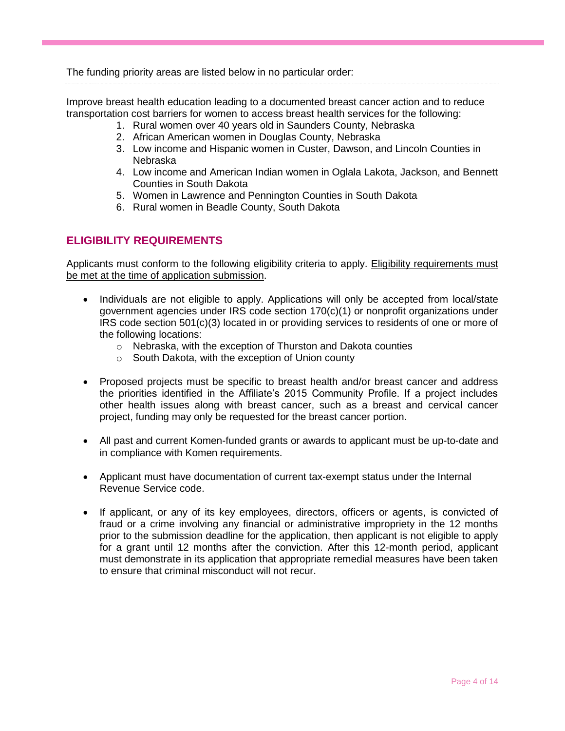The funding priority areas are listed below in no particular order:

Improve breast health education leading to a documented breast cancer action and to reduce transportation cost barriers for women to access breast health services for the following:

- 1. Rural women over 40 years old in Saunders County, Nebraska
- 2. African American women in Douglas County, Nebraska
- 3. Low income and Hispanic women in Custer, Dawson, and Lincoln Counties in Nebraska
- 4. Low income and American Indian women in Oglala Lakota, Jackson, and Bennett Counties in South Dakota
- 5. Women in Lawrence and Pennington Counties in South Dakota
- 6. Rural women in Beadle County, South Dakota

# <span id="page-3-0"></span>**ELIGIBILITY REQUIREMENTS**

Applicants must conform to the following eligibility criteria to apply. Eligibility requirements must be met at the time of application submission.

- Individuals are not eligible to apply. Applications will only be accepted from local/state government agencies under IRS code section 170(c)(1) or nonprofit organizations under IRS code section 501(c)(3) located in or providing services to residents of one or more of the following locations:
	- o Nebraska, with the exception of Thurston and Dakota counties
	- o South Dakota, with the exception of Union county
- Proposed projects must be specific to breast health and/or breast cancer and address the priorities identified in the Affiliate's 2015 Community Profile. If a project includes other health issues along with breast cancer, such as a breast and cervical cancer project, funding may only be requested for the breast cancer portion.
- All past and current Komen-funded grants or awards to applicant must be up-to-date and in compliance with Komen requirements.
- Applicant must have documentation of current tax-exempt status under the Internal Revenue Service code.
- <span id="page-3-1"></span> If applicant, or any of its key employees, directors, officers or agents, is convicted of fraud or a crime involving any financial or administrative impropriety in the 12 months prior to the submission deadline for the application, then applicant is not eligible to apply for a grant until 12 months after the conviction. After this 12-month period, applicant must demonstrate in its application that appropriate remedial measures have been taken to ensure that criminal misconduct will not recur.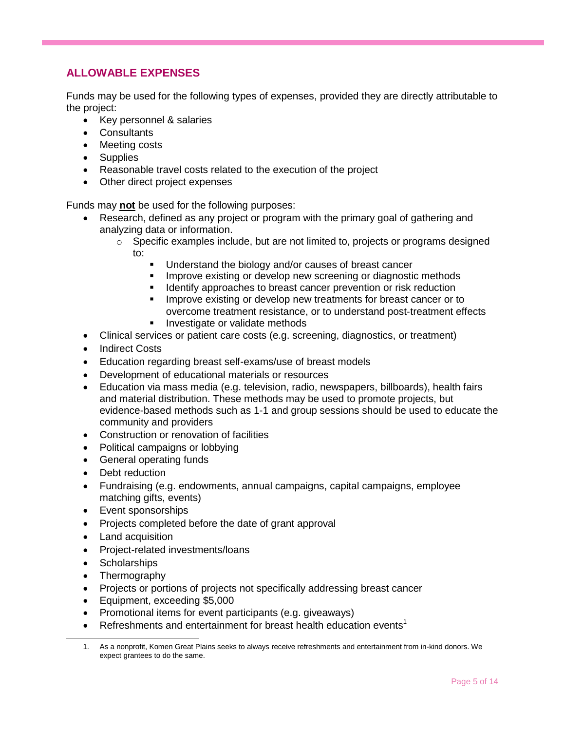# **ALLOWABLE EXPENSES**

Funds may be used for the following types of expenses, provided they are directly attributable to the project:

- Key personnel & salaries
- Consultants
- Meeting costs
- Supplies
- Reasonable travel costs related to the execution of the project
- Other direct project expenses

Funds may **not** be used for the following purposes:

- Research, defined as any project or program with the primary goal of gathering and analyzing data or information.
	- $\circ$  Specific examples include, but are not limited to, projects or programs designed to:
		- Understand the biology and/or causes of breast cancer
		- Improve existing or develop new screening or diagnostic methods
		- Identify approaches to breast cancer prevention or risk reduction
		- Improve existing or develop new treatments for breast cancer or to overcome treatment resistance, or to understand post‐treatment effects
		- **Investigate or validate methods**
- Clinical services or patient care costs (e.g. screening, diagnostics, or treatment)
- Indirect Costs
- Education regarding breast self-exams/use of breast models
- Development of educational materials or resources
- Education via mass media (e.g. television, radio, newspapers, billboards), health fairs and material distribution. These methods may be used to promote projects, but evidence-based methods such as 1-1 and group sessions should be used to educate the community and providers
- Construction or renovation of facilities
- Political campaigns or lobbying
- General operating funds
- Debt reduction
- Fundraising (e.g. endowments, annual campaigns, capital campaigns, employee matching gifts, events)
- Event sponsorships
- Projects completed before the date of grant approval
- Land acquisition
- Project-related investments/loans
- Scholarships

 $\overline{a}$ 

- Thermography
- Projects or portions of projects not specifically addressing breast cancer
- Equipment, exceeding \$5,000
- Promotional items for event participants (e.g. giveaways)
- **•** Refreshments and entertainment for breast health education events<sup>1</sup>

<sup>1.</sup> As a nonprofit, Komen Great Plains seeks to always receive refreshments and entertainment from in-kind donors. We expect grantees to do the same.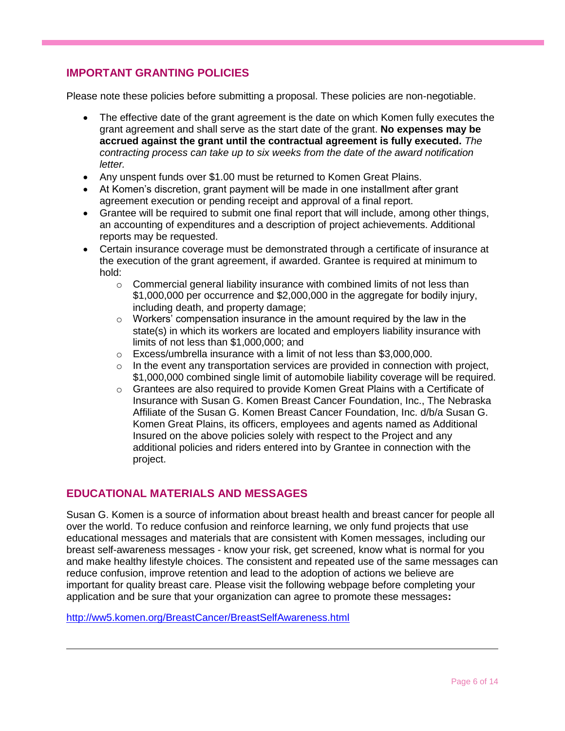# <span id="page-5-0"></span>**IMPORTANT GRANTING POLICIES**

Please note these policies before submitting a proposal. These policies are non-negotiable.

- The effective date of the grant agreement is the date on which Komen fully executes the grant agreement and shall serve as the start date of the grant. **No expenses may be accrued against the grant until the contractual agreement is fully executed.** *The contracting process can take up to six weeks from the date of the award notification letter.*
- Any unspent funds over \$1.00 must be returned to Komen Great Plains.
- At Komen's discretion, grant payment will be made in one installment after grant agreement execution or pending receipt and approval of a final report.
- Grantee will be required to submit one final report that will include, among other things, an accounting of expenditures and a description of project achievements. Additional reports may be requested.
- Certain insurance coverage must be demonstrated through a certificate of insurance at the execution of the grant agreement, if awarded. Grantee is required at minimum to hold:
	- o Commercial general liability insurance with combined limits of not less than \$1,000,000 per occurrence and \$2,000,000 in the aggregate for bodily injury, including death, and property damage;
	- $\circ$  Workers' compensation insurance in the amount required by the law in the state(s) in which its workers are located and employers liability insurance with limits of not less than \$1,000,000; and
	- o Excess/umbrella insurance with a limit of not less than \$3,000,000.
	- $\circ$  In the event any transportation services are provided in connection with project, \$1,000,000 combined single limit of automobile liability coverage will be required.
	- o Grantees are also required to provide Komen Great Plains with a Certificate of Insurance with Susan G. Komen Breast Cancer Foundation, Inc., The Nebraska Affiliate of the Susan G. Komen Breast Cancer Foundation, Inc. d/b/a Susan G. Komen Great Plains, its officers, employees and agents named as Additional Insured on the above policies solely with respect to the Project and any additional policies and riders entered into by Grantee in connection with the project.

# <span id="page-5-1"></span>**EDUCATIONAL MATERIALS AND MESSAGES**

Susan G. Komen is a source of information about breast health and breast cancer for people all over the world. To reduce confusion and reinforce learning, we only fund projects that use educational messages and materials that are consistent with Komen messages, including our breast self-awareness messages - know your risk, get screened, know what is normal for you and make healthy lifestyle choices. The consistent and repeated use of the same messages can reduce confusion, improve retention and lead to the adoption of actions we believe are important for quality breast care. Please visit the following webpage before completing your application and be sure that your organization can agree to promote these messages**:** 

<http://ww5.komen.org/BreastCancer/BreastSelfAwareness.html>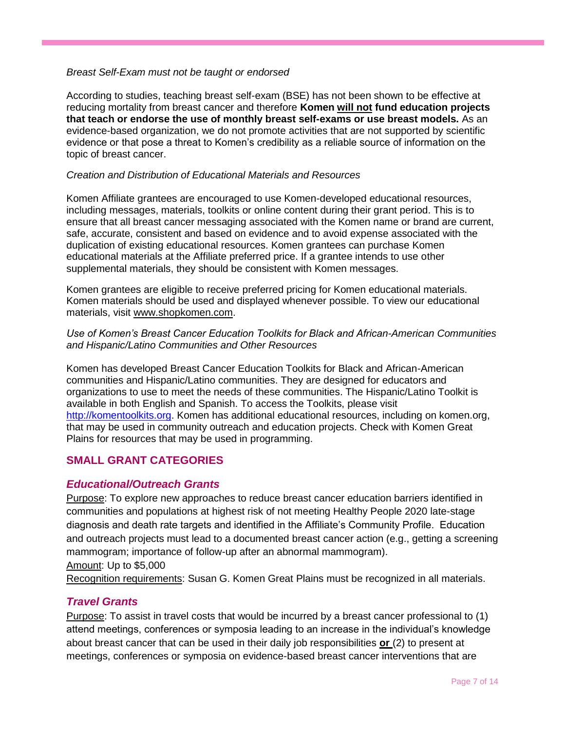#### *Breast Self-Exam must not be taught or endorsed*

According to studies, teaching breast self-exam (BSE) has not been shown to be effective at reducing mortality from breast cancer and therefore **Komen will not fund education projects that teach or endorse the use of monthly breast self-exams or use breast models.** As an evidence-based organization, we do not promote activities that are not supported by scientific evidence or that pose a threat to Komen's credibility as a reliable source of information on the topic of breast cancer.

#### *Creation and Distribution of Educational Materials and Resources*

Komen Affiliate grantees are encouraged to use Komen-developed educational resources, including messages, materials, toolkits or online content during their grant period. This is to ensure that all breast cancer messaging associated with the Komen name or brand are current, safe, accurate, consistent and based on evidence and to avoid expense associated with the duplication of existing educational resources. Komen grantees can purchase Komen educational materials at the Affiliate preferred price. If a grantee intends to use other supplemental materials, they should be consistent with Komen messages.

Komen grantees are eligible to receive preferred pricing for Komen educational materials. Komen materials should be used and displayed whenever possible. To view our educational materials, visit [www.shopkomen.com.](http://www.shopkomen.com/)

#### *Use of Komen's Breast Cancer Education Toolkits for Black and African-American Communities and Hispanic/Latino Communities and Other Resources*

Komen has developed Breast Cancer Education Toolkits for Black and African-American communities and Hispanic/Latino communities. They are designed for educators and organizations to use to meet the needs of these communities. The Hispanic/Latino Toolkit is available in both English and Spanish. To access the Toolkits, please visit [http://komentoolkits.org.](http://komentoolkits.org/) Komen has additional educational resources, including on komen.org, that may be used in community outreach and education projects. Check with Komen Great Plains for resources that may be used in programming.

# <span id="page-6-0"></span>**SMALL GRANT CATEGORIES**

# *Educational/Outreach Grants*

Purpose: To explore new approaches to reduce breast cancer education barriers identified in communities and populations at highest risk of not meeting Healthy People 2020 late-stage diagnosis and death rate targets and identified in the Affiliate's Community Profile. Education and outreach projects must lead to a documented breast cancer action (e.g., getting a screening mammogram; importance of follow-up after an abnormal mammogram).

Amount: Up to \$5,000

Recognition requirements: Susan G. Komen Great Plains must be recognized in all materials.

# *Travel Grants*

Purpose: To assist in travel costs that would be incurred by a breast cancer professional to (1) attend meetings, conferences or symposia leading to an increase in the individual's knowledge about breast cancer that can be used in their daily job responsibilities **or** (2) to present at meetings, conferences or symposia on evidence-based breast cancer interventions that are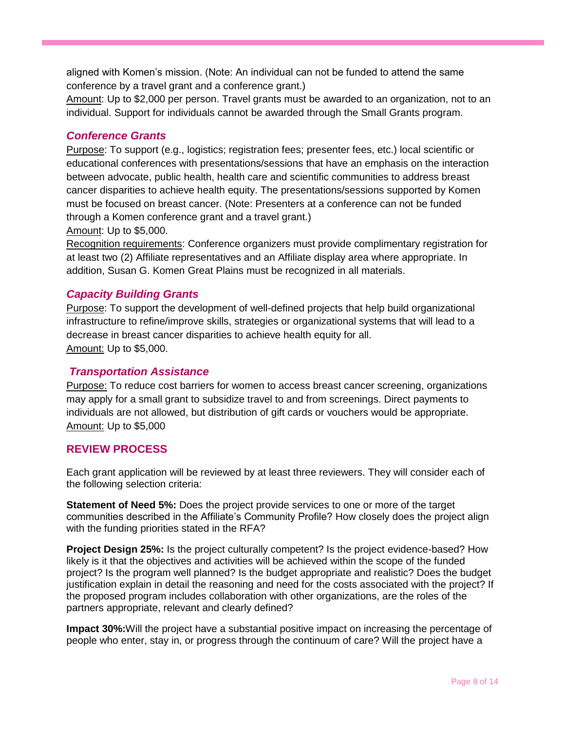aligned with Komen's mission. (Note: An individual can not be funded to attend the same conference by a travel grant and a conference grant.)

Amount: Up to \$2,000 per person. Travel grants must be awarded to an organization, not to an individual. Support for individuals cannot be awarded through the Small Grants program.

# *Conference Grants*

Purpose: To support (e.g., logistics; registration fees; presenter fees, etc.) local scientific or educational conferences with presentations/sessions that have an emphasis on the interaction between advocate, public health, health care and scientific communities to address breast cancer disparities to achieve health equity. The presentations/sessions supported by Komen must be focused on breast cancer. (Note: Presenters at a conference can not be funded through a Komen conference grant and a travel grant.)

Amount: Up to \$5,000.

Recognition requirements: Conference organizers must provide complimentary registration for at least two (2) Affiliate representatives and an Affiliate display area where appropriate. In addition, Susan G. Komen Great Plains must be recognized in all materials.

# *Capacity Building Grants*

Purpose: To support the development of well-defined projects that help build organizational infrastructure to refine/improve skills, strategies or organizational systems that will lead to a decrease in breast cancer disparities to achieve health equity for all. Amount: Up to \$5,000.

# <span id="page-7-0"></span>*Transportation Assistance*

Purpose: To reduce cost barriers for women to access breast cancer screening, organizations may apply for a small grant to subsidize travel to and from screenings. Direct payments to individuals are not allowed, but distribution of gift cards or vouchers would be appropriate. Amount: Up to \$5,000

# **REVIEW PROCESS**

Each grant application will be reviewed by at least three reviewers. They will consider each of the following selection criteria:

**Statement of Need 5%:** Does the project provide services to one or more of the target communities described in the Affiliate's Community Profile? How closely does the project align with the funding priorities stated in the RFA?

**Project Design 25%:** Is the project culturally competent? Is the project evidence-based? How likely is it that the objectives and activities will be achieved within the scope of the funded project? Is the program well planned? Is the budget appropriate and realistic? Does the budget justification explain in detail the reasoning and need for the costs associated with the project? If the proposed program includes collaboration with other organizations, are the roles of the partners appropriate, relevant and clearly defined?

**Impact 30%:**Will the project have a substantial positive impact on increasing the percentage of people who enter, stay in, or progress through the continuum of care? Will the project have a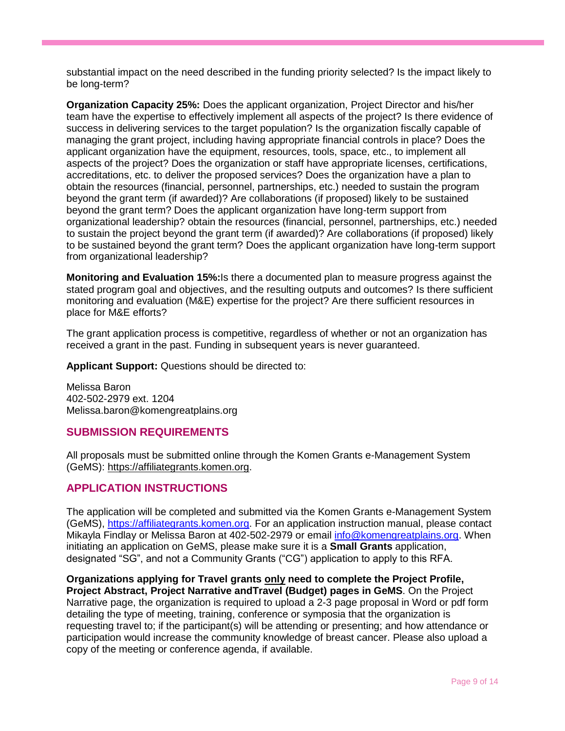substantial impact on the need described in the funding priority selected? Is the impact likely to be long-term?

**Organization Capacity 25%:** Does the applicant organization, Project Director and his/her team have the expertise to effectively implement all aspects of the project? Is there evidence of success in delivering services to the target population? Is the organization fiscally capable of managing the grant project, including having appropriate financial controls in place? Does the applicant organization have the equipment, resources, tools, space, etc., to implement all aspects of the project? Does the organization or staff have appropriate licenses, certifications, accreditations, etc. to deliver the proposed services? Does the organization have a plan to obtain the resources (financial, personnel, partnerships, etc.) needed to sustain the program beyond the grant term (if awarded)? Are collaborations (if proposed) likely to be sustained beyond the grant term? Does the applicant organization have long-term support from organizational leadership? obtain the resources (financial, personnel, partnerships, etc.) needed to sustain the project beyond the grant term (if awarded)? Are collaborations (if proposed) likely to be sustained beyond the grant term? Does the applicant organization have long-term support from organizational leadership?

**Monitoring and Evaluation 15%:**Is there a documented plan to measure progress against the stated program goal and objectives, and the resulting outputs and outcomes? Is there sufficient monitoring and evaluation (M&E) expertise for the project? Are there sufficient resources in place for M&E efforts?

The grant application process is competitive, regardless of whether or not an organization has received a grant in the past. Funding in subsequent years is never guaranteed.

**Applicant Support:** Questions should be directed to:

Melissa Baron 402-502-2979 ext. 1204 Melissa.baron@komengreatplains.org

#### <span id="page-8-0"></span>**SUBMISSION REQUIREMENTS**

All proposals must be submitted online through the Komen Grants e-Management System (GeMS): [https://affiliategrants.komen.org.](https://affiliategrants.komen.org/)

# <span id="page-8-1"></span>**APPLICATION INSTRUCTIONS**

The application will be completed and submitted via the Komen Grants e-Management System (GeMS), [https://affiliategrants.komen.org.](https://affiliategrants.komen.org/) For an application instruction manual, please contact Mikayla Findlay or Melissa Baron at 402-502-2979 or email [info@komengreatplains.org.](mailto:info@komengreatplains.org) When initiating an application on GeMS, please make sure it is a **Small Grants** application, designated "SG", and not a Community Grants ("CG") application to apply to this RFA.

**Organizations applying for Travel grants only need to complete the Project Profile, Project Abstract, Project Narrative andTravel (Budget) pages in GeMS**. On the Project Narrative page, the organization is required to upload a 2-3 page proposal in Word or pdf form detailing the type of meeting, training, conference or symposia that the organization is requesting travel to; if the participant(s) will be attending or presenting; and how attendance or participation would increase the community knowledge of breast cancer. Please also upload a copy of the meeting or conference agenda, if available.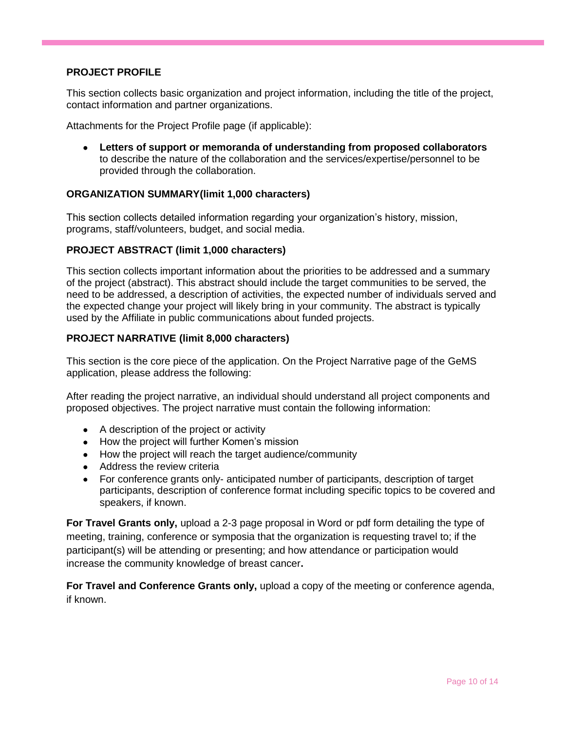# **PROJECT PROFILE**

This section collects basic organization and project information, including the title of the project, contact information and partner organizations.

Attachments for the Project Profile page (if applicable):

 **Letters of support or memoranda of understanding from proposed collaborators** to describe the nature of the collaboration and the services/expertise/personnel to be provided through the collaboration.

#### **ORGANIZATION SUMMARY(limit 1,000 characters)**

This section collects detailed information regarding your organization's history, mission, programs, staff/volunteers, budget, and social media.

#### **PROJECT ABSTRACT (limit 1,000 characters)**

This section collects important information about the priorities to be addressed and a summary of the project (abstract). This abstract should include the target communities to be served, the need to be addressed, a description of activities, the expected number of individuals served and the expected change your project will likely bring in your community. The abstract is typically used by the Affiliate in public communications about funded projects.

#### **PROJECT NARRATIVE (limit 8,000 characters)**

This section is the core piece of the application. On the Project Narrative page of the GeMS application, please address the following:

After reading the project narrative, an individual should understand all project components and proposed objectives. The project narrative must contain the following information:

- A description of the project or activity
- How the project will further Komen's mission
- How the project will reach the target audience/community
- Address the review criteria
- For conference grants only- anticipated number of participants, description of target participants, description of conference format including specific topics to be covered and speakers, if known.

**For Travel Grants only,** upload a 2-3 page proposal in Word or pdf form detailing the type of meeting, training, conference or symposia that the organization is requesting travel to; if the participant(s) will be attending or presenting; and how attendance or participation would increase the community knowledge of breast cancer**.** 

**For Travel and Conference Grants only,** upload a copy of the meeting or conference agenda, if known.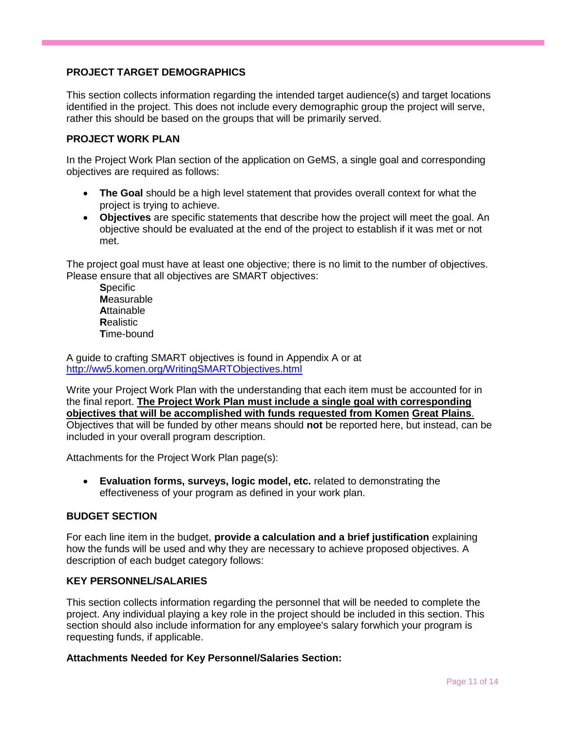# **PROJECT TARGET DEMOGRAPHICS**

This section collects information regarding the intended target audience(s) and target locations identified in the project. This does not include every demographic group the project will serve, rather this should be based on the groups that will be primarily served.

# **PROJECT WORK PLAN**

In the Project Work Plan section of the application on GeMS, a single goal and corresponding objectives are required as follows:

- **The Goal** should be a high level statement that provides overall context for what the project is trying to achieve.
- **Objectives** are specific statements that describe how the project will meet the goal. An objective should be evaluated at the end of the project to establish if it was met or not met.

The project goal must have at least one objective; there is no limit to the number of objectives. Please ensure that all objectives are SMART objectives:

**S**pecific **M**easurable **A**ttainable **R**ealistic **T**ime-bound

A guide to crafting SMART objectives is found in Appendix A or at <http://ww5.komen.org/WritingSMARTObjectives.html>

Write your Project Work Plan with the understanding that each item must be accounted for in the final report. **The Project Work Plan must include a single goal with corresponding objectives that will be accomplished with funds requested from Komen Great Plains**. Objectives that will be funded by other means should **not** be reported here, but instead, can be

included in your overall program description.

Attachments for the Project Work Plan page(s):

 **Evaluation forms, surveys, logic model, etc.** related to demonstrating the effectiveness of your program as defined in your work plan.

# **BUDGET SECTION**

For each line item in the budget, **provide a calculation and a brief justification** explaining how the funds will be used and why they are necessary to achieve proposed objectives. A description of each budget category follows:

#### **KEY PERSONNEL/SALARIES**

This section collects information regarding the personnel that will be needed to complete the project. Any individual playing a key role in the project should be included in this section. This section should also include information for any employee's salary forwhich your program is requesting funds, if applicable.

#### **Attachments Needed for Key Personnel/Salaries Section:**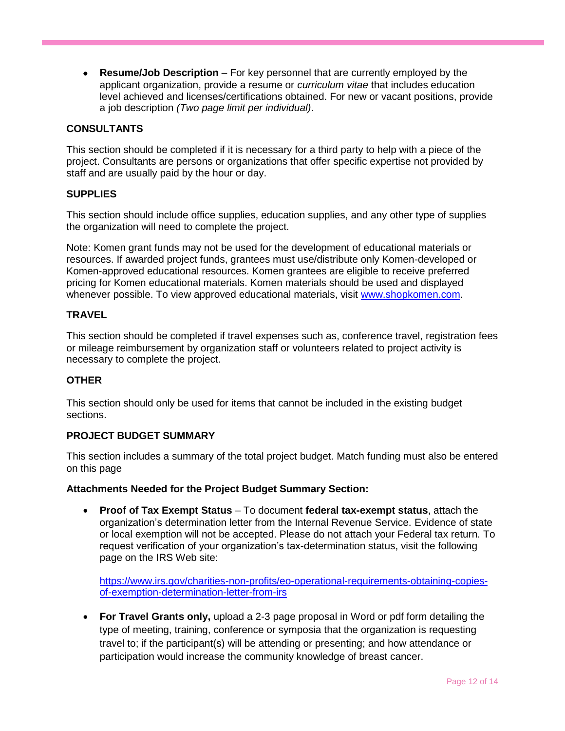**Resume/Job Description** – For key personnel that are currently employed by the applicant organization, provide a resume or *curriculum vitae* that includes education level achieved and licenses/certifications obtained. For new or vacant positions, provide a job description *(Two page limit per individual)*.

#### **CONSULTANTS**

This section should be completed if it is necessary for a third party to help with a piece of the project. Consultants are persons or organizations that offer specific expertise not provided by staff and are usually paid by the hour or day.

#### **SUPPLIES**

This section should include office supplies, education supplies, and any other type of supplies the organization will need to complete the project.

Note: Komen grant funds may not be used for the development of educational materials or resources. If awarded project funds, grantees must use/distribute only Komen-developed or Komen-approved educational resources. Komen grantees are eligible to receive preferred pricing for Komen educational materials. Komen materials should be used and displayed whenever possible. To view approved educational materials, visit [www.shopkomen.com.](http://www.shopkomen.com/)

#### **TRAVEL**

This section should be completed if travel expenses such as, conference travel, registration fees or mileage reimbursement by organization staff or volunteers related to project activity is necessary to complete the project.

#### **OTHER**

This section should only be used for items that cannot be included in the existing budget sections.

#### **PROJECT BUDGET SUMMARY**

This section includes a summary of the total project budget. Match funding must also be entered on this page

#### **Attachments Needed for the Project Budget Summary Section:**

 **Proof of Tax Exempt Status** – To document **federal tax-exempt status**, attach the organization's determination letter from the Internal Revenue Service. Evidence of state or local exemption will not be accepted. Please do not attach your Federal tax return. To request verification of your organization's tax-determination status, visit the following page on the IRS Web site:

[https://www.irs.gov/charities-non-profits/eo-operational-requirements-obtaining-copies](https://www.irs.gov/charities-non-profits/eo-operational-requirements-obtaining-copies-of-exemption-determination-letter-from-irs)[of-exemption-determination-letter-from-irs](https://www.irs.gov/charities-non-profits/eo-operational-requirements-obtaining-copies-of-exemption-determination-letter-from-irs)

<span id="page-11-0"></span> **For Travel Grants only,** upload a 2-3 page proposal in Word or pdf form detailing the type of meeting, training, conference or symposia that the organization is requesting travel to; if the participant(s) will be attending or presenting; and how attendance or participation would increase the community knowledge of breast cancer.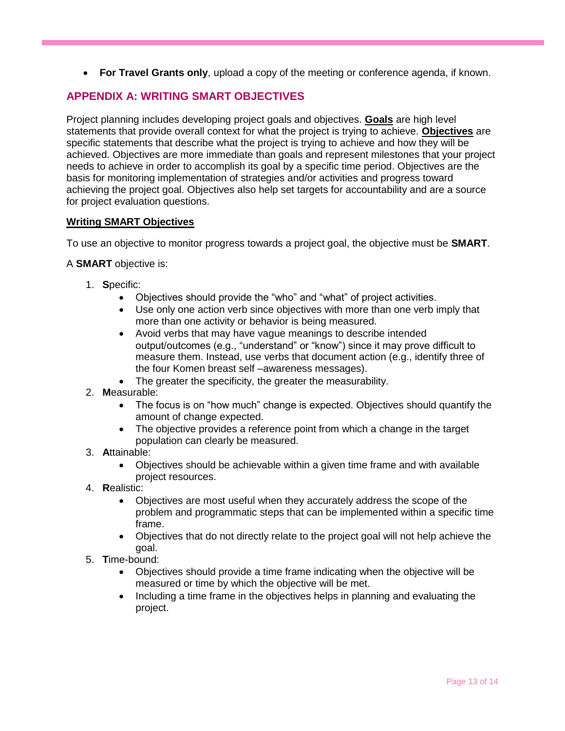**For Travel Grants only**, upload a copy of the meeting or conference agenda, if known.

# **APPENDIX A: WRITING SMART OBJECTIVES**

Project planning includes developing project goals and objectives. **Goals** are high level statements that provide overall context for what the project is trying to achieve. **Objectives** are specific statements that describe what the project is trying to achieve and how they will be achieved. Objectives are more immediate than goals and represent milestones that your project needs to achieve in order to accomplish its goal by a specific time period. Objectives are the basis for monitoring implementation of strategies and/or activities and progress toward achieving the project goal. Objectives also help set targets for accountability and are a source for project evaluation questions.

# **Writing SMART Objectives**

To use an objective to monitor progress towards a project goal, the objective must be **SMART**.

# A **SMART** objective is:

- 1. **S**pecific:
	- Objectives should provide the "who" and "what" of project activities.
	- Use only one action verb since objectives with more than one verb imply that more than one activity or behavior is being measured.
	- Avoid verbs that may have vague meanings to describe intended output/outcomes (e.g., "understand" or "know") since it may prove difficult to measure them. Instead, use verbs that document action (e.g., identify three of the four Komen breast self –awareness messages).
	- The greater the specificity, the greater the measurability.
- 2. **M**easurable:
	- The focus is on "how much" change is expected. Objectives should quantify the amount of change expected.
	- The objective provides a reference point from which a change in the target population can clearly be measured.
- 3. **A**ttainable:
	- Objectives should be achievable within a given time frame and with available project resources.
- 4. **R**ealistic:
	- Objectives are most useful when they accurately address the scope of the problem and programmatic steps that can be implemented within a specific time frame.
	- Objectives that do not directly relate to the project goal will not help achieve the goal.
- 5. **T**ime-bound:
	- Objectives should provide a time frame indicating when the objective will be measured or time by which the objective will be met.
	- Including a time frame in the objectives helps in planning and evaluating the project.